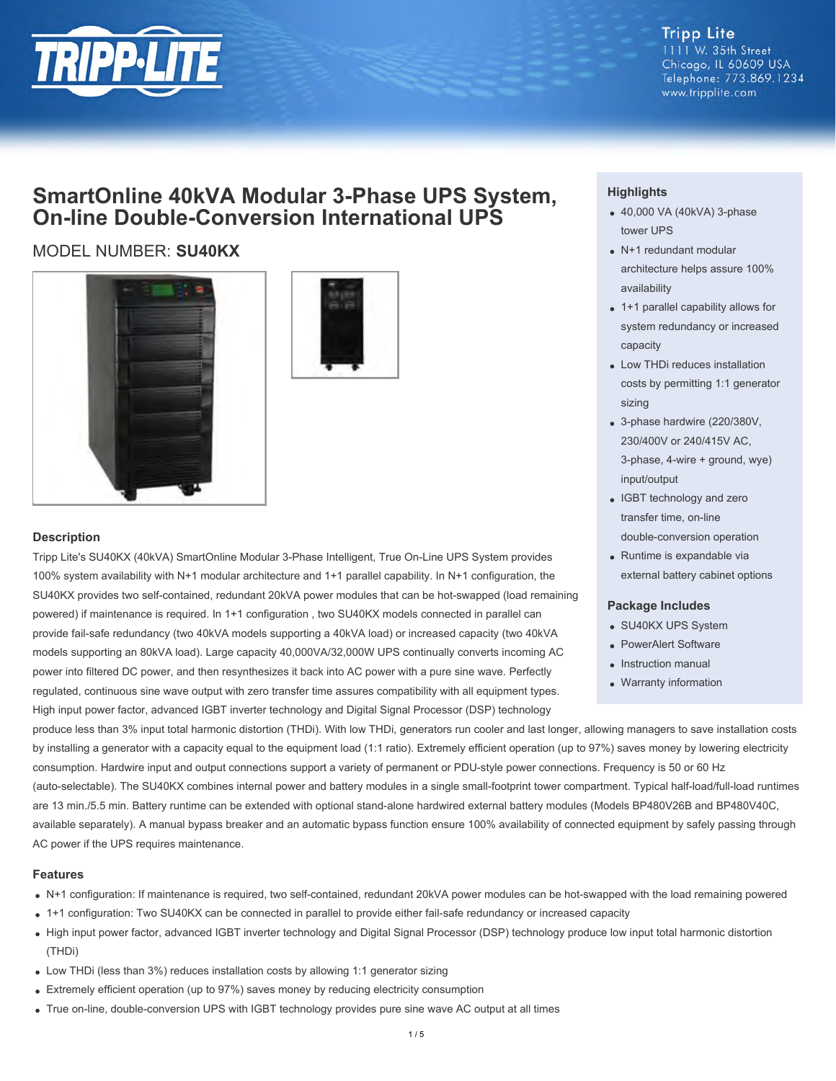

#### **Tripp Lite** 1111 W. 35th Street Chicago, IL 60609 USA Telephone: 773.869.1234 www.tripplite.com

## **SmartOnline 40kVA Modular 3-Phase UPS System, On-line Double-Conversion International UPS**

### MODEL NUMBER: **SU40KX**





#### **Description**

Tripp Lite's SU40KX (40kVA) SmartOnline Modular 3-Phase Intelligent, True On-Line UPS System provides 100% system availability with N+1 modular architecture and 1+1 parallel capability. In N+1 configuration, the SU40KX provides two self-contained, redundant 20kVA power modules that can be hot-swapped (load remaining powered) if maintenance is required. In 1+1 configuration , two SU40KX models connected in parallel can provide fail-safe redundancy (two 40kVA models supporting a 40kVA load) or increased capacity (two 40kVA models supporting an 80kVA load). Large capacity 40,000VA/32,000W UPS continually converts incoming AC power into filtered DC power, and then resynthesizes it back into AC power with a pure sine wave. Perfectly regulated, continuous sine wave output with zero transfer time assures compatibility with all equipment types. High input power factor, advanced IGBT inverter technology and Digital Signal Processor (DSP) technology

#### **Highlights**

- 40,000 VA (40kVA) 3-phase tower UPS
- N+1 redundant modular architecture helps assure 100% availability
- 1+1 parallel capability allows for system redundancy or increased capacity
- Low THDi reduces installation costs by permitting 1:1 generator sizing
- 3-phase hardwire (220/380V, 230/400V or 240/415V AC, 3-phase, 4-wire + ground, wye) input/output
- IGBT technology and zero transfer time, on-line double-conversion operation
- Runtime is expandable via external battery cabinet options

#### **Package Includes**

- SU40KX UPS System
- PowerAlert Software
- Instruction manual
- Warranty information

produce less than 3% input total harmonic distortion (THDi). With low THDi, generators run cooler and last longer, allowing managers to save installation costs by installing a generator with a capacity equal to the equipment load (1:1 ratio). Extremely efficient operation (up to 97%) saves money by lowering electricity consumption. Hardwire input and output connections support a variety of permanent or PDU-style power connections. Frequency is 50 or 60 Hz (auto-selectable). The SU40KX combines internal power and battery modules in a single small-footprint tower compartment. Typical half-load/full-load runtimes are 13 min./5.5 min. Battery runtime can be extended with optional stand-alone hardwired external battery modules (Models BP480V26B and BP480V40C, available separately). A manual bypass breaker and an automatic bypass function ensure 100% availability of connected equipment by safely passing through AC power if the UPS requires maintenance.

#### **Features**

- N+1 configuration: If maintenance is required, two self-contained, redundant 20kVA power modules can be hot-swapped with the load remaining powered
- 1+1 configuration: Two SU40KX can be connected in parallel to provide either fail-safe redundancy or increased capacity
- High input power factor, advanced IGBT inverter technology and Digital Signal Processor (DSP) technology produce low input total harmonic distortion (THDi)
- Low THDi (less than 3%) reduces installation costs by allowing 1:1 generator sizing
- Extremely efficient operation (up to 97%) saves money by reducing electricity consumption
- True on-line, double-conversion UPS with IGBT technology provides pure sine wave AC output at all times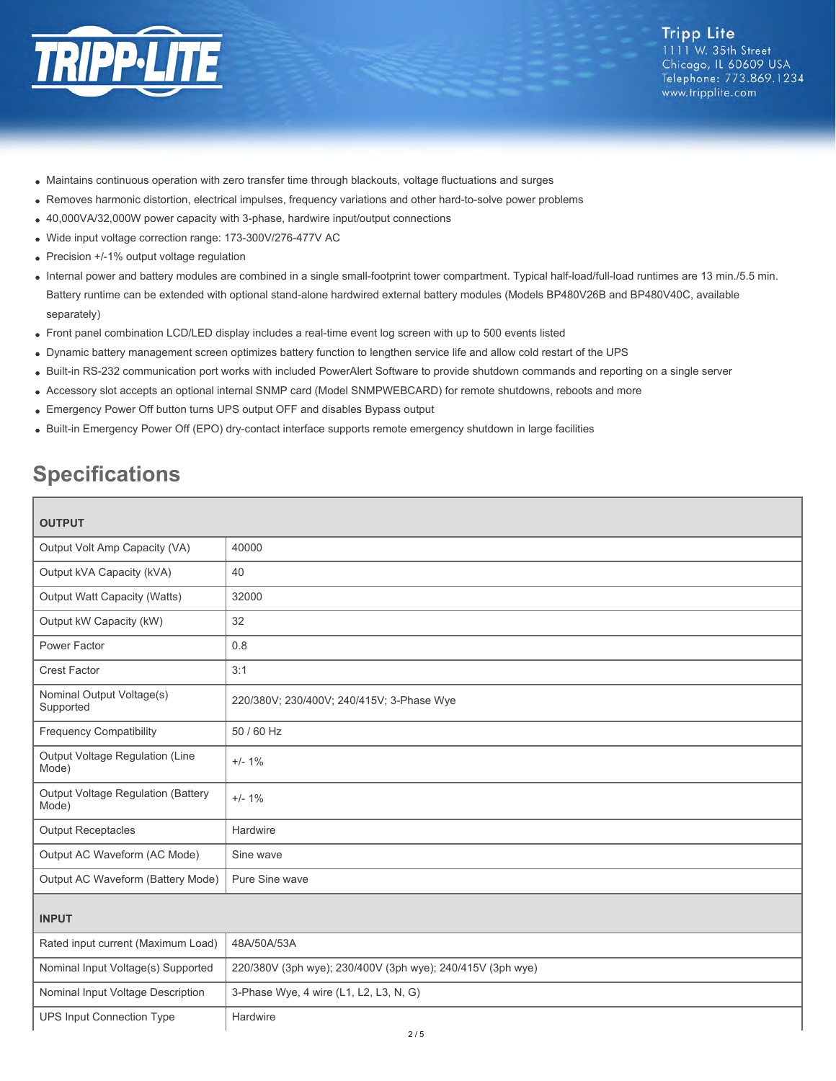

- Maintains continuous operation with zero transfer time through blackouts, voltage fluctuations and surges
- Removes harmonic distortion, electrical impulses, frequency variations and other hard-to-solve power problems
- 40,000VA/32,000W power capacity with 3-phase, hardwire input/output connections
- Wide input voltage correction range: 173-300V/276-477V AC
- Precision +/-1% output voltage regulation
- Internal power and battery modules are combined in a single small-footprint tower compartment. Typical half-load/full-load runtimes are 13 min./5.5 min. Battery runtime can be extended with optional stand-alone hardwired external battery modules (Models BP480V26B and BP480V40C, available separately)
- Front panel combination LCD/LED display includes a real-time event log screen with up to 500 events listed
- Dynamic battery management screen optimizes battery function to lengthen service life and allow cold restart of the UPS
- Built-in RS-232 communication port works with included PowerAlert Software to provide shutdown commands and reporting on a single server
- Accessory slot accepts an optional internal SNMP card (Model SNMPWEBCARD) for remote shutdowns, reboots and more
- Emergency Power Off button turns UPS output OFF and disables Bypass output
- Built-in Emergency Power Off (EPO) dry-contact interface supports remote emergency shutdown in large facilities

# **Specifications**

| <b>OUTPUT</b> |  |  |
|---------------|--|--|

| <b>OUTPUT</b>                               |                                                            |  |
|---------------------------------------------|------------------------------------------------------------|--|
| Output Volt Amp Capacity (VA)               | 40000                                                      |  |
| Output kVA Capacity (kVA)                   | 40                                                         |  |
| Output Watt Capacity (Watts)                | 32000                                                      |  |
| Output kW Capacity (kW)                     | 32                                                         |  |
| Power Factor                                | 0.8                                                        |  |
| <b>Crest Factor</b>                         | 3:1                                                        |  |
| Nominal Output Voltage(s)<br>Supported      | 220/380V; 230/400V; 240/415V; 3-Phase Wye                  |  |
| <b>Frequency Compatibility</b>              | 50 / 60 Hz                                                 |  |
| Output Voltage Regulation (Line<br>Mode)    | $+/- 1\%$                                                  |  |
| Output Voltage Regulation (Battery<br>Mode) | $+/- 1%$                                                   |  |
| <b>Output Receptacles</b>                   | Hardwire                                                   |  |
| Output AC Waveform (AC Mode)                | Sine wave                                                  |  |
| Output AC Waveform (Battery Mode)           | Pure Sine wave                                             |  |
| <b>INPUT</b>                                |                                                            |  |
| Rated input current (Maximum Load)          | 48A/50A/53A                                                |  |
| Nominal Input Voltage(s) Supported          | 220/380V (3ph wye); 230/400V (3ph wye); 240/415V (3ph wye) |  |
| Nominal Input Voltage Description           | 3-Phase Wye, 4 wire (L1, L2, L3, N, G)                     |  |
| <b>UPS Input Connection Type</b>            | Hardwire                                                   |  |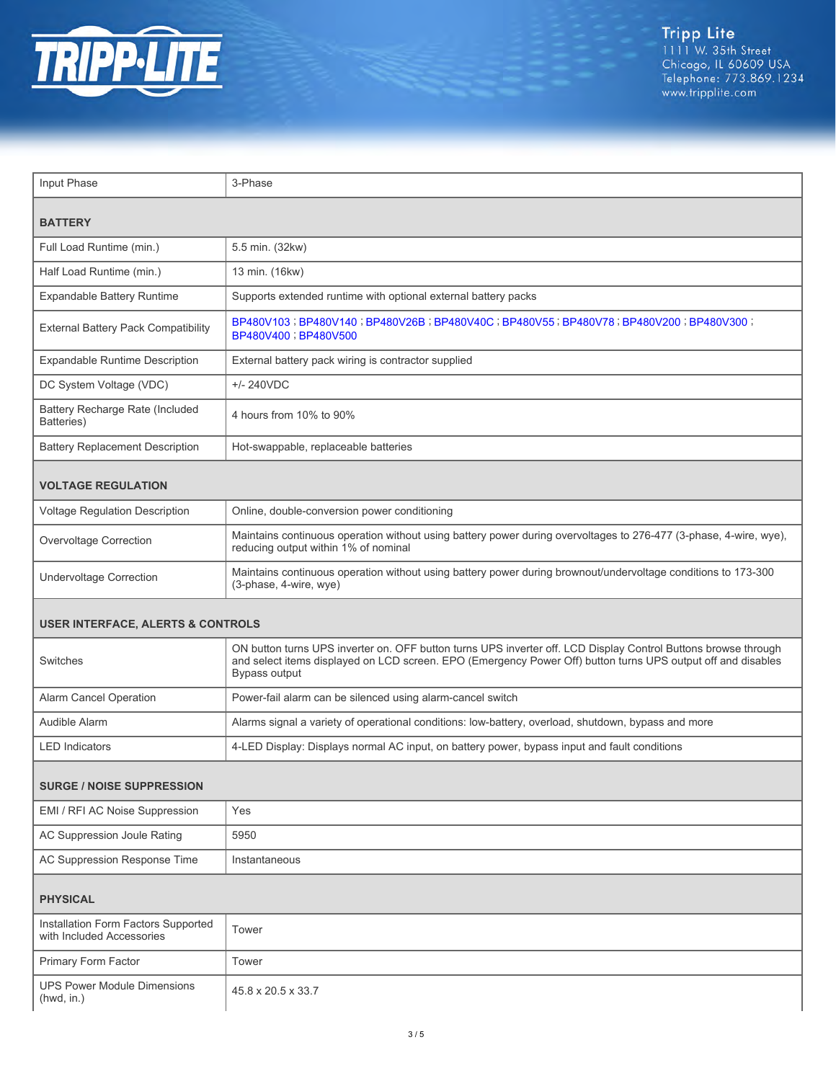

| Input Phase                                                      | 3-Phase                                                                                                                                                                                                                                         |  |  |  |
|------------------------------------------------------------------|-------------------------------------------------------------------------------------------------------------------------------------------------------------------------------------------------------------------------------------------------|--|--|--|
| <b>BATTERY</b>                                                   |                                                                                                                                                                                                                                                 |  |  |  |
| Full Load Runtime (min.)                                         | 5.5 min. (32kw)                                                                                                                                                                                                                                 |  |  |  |
| Half Load Runtime (min.)                                         | 13 min. (16kw)                                                                                                                                                                                                                                  |  |  |  |
| Expandable Battery Runtime                                       | Supports extended runtime with optional external battery packs                                                                                                                                                                                  |  |  |  |
| External Battery Pack Compatibility                              | BP480V103;BP480V140;BP480V26B;BP480V40C;BP480V55;BP480V78;BP480V200;BP480V300;<br>BP480V400 ; BP480V500                                                                                                                                         |  |  |  |
| <b>Expandable Runtime Description</b>                            | External battery pack wiring is contractor supplied                                                                                                                                                                                             |  |  |  |
| DC System Voltage (VDC)                                          | $+/- 240VDC$                                                                                                                                                                                                                                    |  |  |  |
| Battery Recharge Rate (Included<br>Batteries)                    | 4 hours from 10% to 90%                                                                                                                                                                                                                         |  |  |  |
| <b>Battery Replacement Description</b>                           | Hot-swappable, replaceable batteries                                                                                                                                                                                                            |  |  |  |
| <b>VOLTAGE REGULATION</b>                                        |                                                                                                                                                                                                                                                 |  |  |  |
| Voltage Regulation Description                                   | Online, double-conversion power conditioning                                                                                                                                                                                                    |  |  |  |
| Overvoltage Correction                                           | Maintains continuous operation without using battery power during overvoltages to 276-477 (3-phase, 4-wire, wye),<br>reducing output within 1% of nominal                                                                                       |  |  |  |
| <b>Undervoltage Correction</b>                                   | Maintains continuous operation without using battery power during brownout/undervoltage conditions to 173-300<br>(3-phase, 4-wire, wye)                                                                                                         |  |  |  |
| <b>USER INTERFACE, ALERTS &amp; CONTROLS</b>                     |                                                                                                                                                                                                                                                 |  |  |  |
| Switches                                                         | ON button turns UPS inverter on. OFF button turns UPS inverter off. LCD Display Control Buttons browse through<br>and select items displayed on LCD screen. EPO (Emergency Power Off) button turns UPS output off and disables<br>Bypass output |  |  |  |
| Alarm Cancel Operation                                           | Power-fail alarm can be silenced using alarm-cancel switch                                                                                                                                                                                      |  |  |  |
| Audible Alarm                                                    | Alarms signal a variety of operational conditions: low-battery, overload, shutdown, bypass and more                                                                                                                                             |  |  |  |
| <b>LED Indicators</b>                                            | 4-LED Display: Displays normal AC input, on battery power, bypass input and fault conditions                                                                                                                                                    |  |  |  |
| <b>SURGE / NOISE SUPPRESSION</b>                                 |                                                                                                                                                                                                                                                 |  |  |  |
| EMI / RFI AC Noise Suppression                                   | Yes                                                                                                                                                                                                                                             |  |  |  |
| AC Suppression Joule Rating                                      | 5950                                                                                                                                                                                                                                            |  |  |  |
| AC Suppression Response Time                                     | Instantaneous                                                                                                                                                                                                                                   |  |  |  |
| <b>PHYSICAL</b>                                                  |                                                                                                                                                                                                                                                 |  |  |  |
| Installation Form Factors Supported<br>with Included Accessories | Tower                                                                                                                                                                                                                                           |  |  |  |
| Primary Form Factor                                              | Tower                                                                                                                                                                                                                                           |  |  |  |
| <b>UPS Power Module Dimensions</b><br>(hwd, in.)                 | 45.8 x 20.5 x 33.7                                                                                                                                                                                                                              |  |  |  |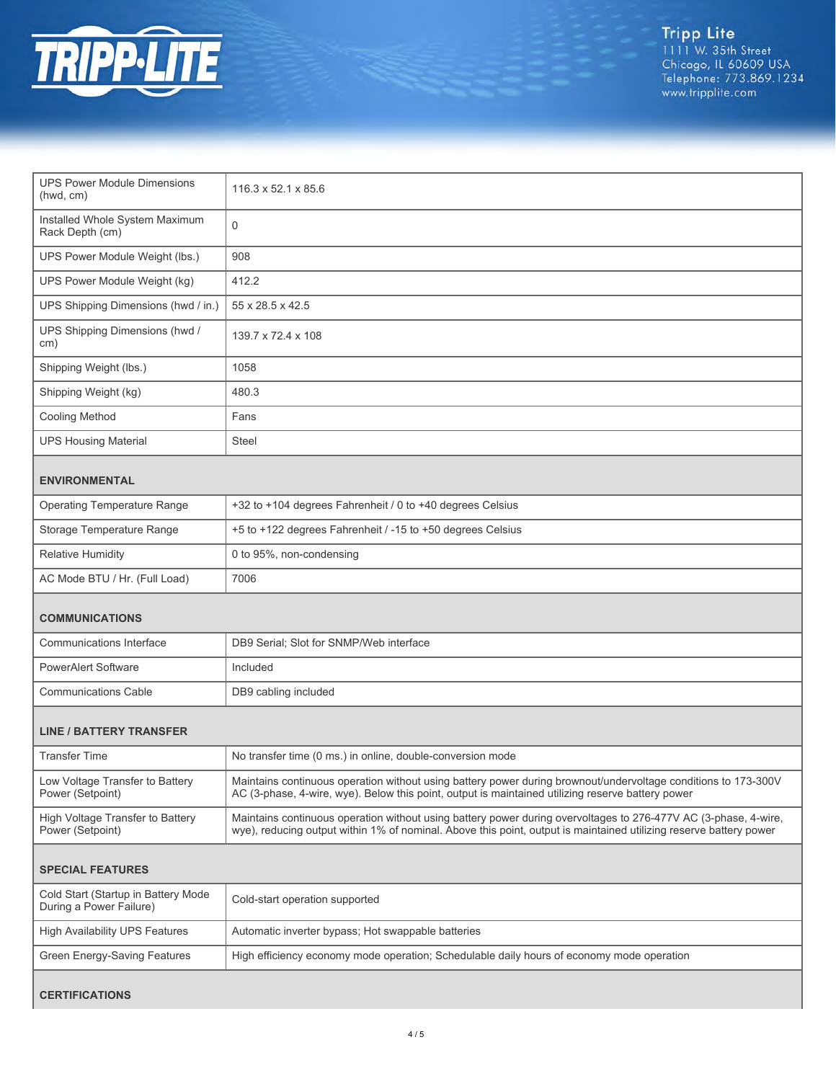

Tripp Lite<br>1111 W. 35th Street<br>Chicago, IL 60609 USA<br>Telephone: 773.869.1234<br>www.tripplite.com

| <b>UPS Power Module Dimensions</b><br>(hwd, cm)                | $116.3 \times 52.1 \times 85.6$                                                                                                                                                                                                       |  |  |  |
|----------------------------------------------------------------|---------------------------------------------------------------------------------------------------------------------------------------------------------------------------------------------------------------------------------------|--|--|--|
| Installed Whole System Maximum<br>Rack Depth (cm)              | $\mathbf 0$                                                                                                                                                                                                                           |  |  |  |
| UPS Power Module Weight (lbs.)                                 | 908                                                                                                                                                                                                                                   |  |  |  |
| UPS Power Module Weight (kg)                                   | 412.2                                                                                                                                                                                                                                 |  |  |  |
| UPS Shipping Dimensions (hwd / in.)                            | 55 x 28.5 x 42.5                                                                                                                                                                                                                      |  |  |  |
| UPS Shipping Dimensions (hwd /<br>cm)                          | 139.7 x 72.4 x 108                                                                                                                                                                                                                    |  |  |  |
| Shipping Weight (lbs.)                                         | 1058                                                                                                                                                                                                                                  |  |  |  |
| Shipping Weight (kg)                                           | 480.3                                                                                                                                                                                                                                 |  |  |  |
| Cooling Method                                                 | Fans                                                                                                                                                                                                                                  |  |  |  |
| <b>UPS Housing Material</b>                                    | Steel                                                                                                                                                                                                                                 |  |  |  |
| <b>ENVIRONMENTAL</b>                                           |                                                                                                                                                                                                                                       |  |  |  |
| <b>Operating Temperature Range</b>                             | +32 to +104 degrees Fahrenheit / 0 to +40 degrees Celsius                                                                                                                                                                             |  |  |  |
| Storage Temperature Range                                      | +5 to +122 degrees Fahrenheit / -15 to +50 degrees Celsius                                                                                                                                                                            |  |  |  |
| <b>Relative Humidity</b>                                       | 0 to 95%, non-condensing                                                                                                                                                                                                              |  |  |  |
| AC Mode BTU / Hr. (Full Load)                                  | 7006                                                                                                                                                                                                                                  |  |  |  |
| <b>COMMUNICATIONS</b>                                          |                                                                                                                                                                                                                                       |  |  |  |
| Communications Interface                                       | DB9 Serial; Slot for SNMP/Web interface                                                                                                                                                                                               |  |  |  |
| <b>PowerAlert Software</b>                                     | Included                                                                                                                                                                                                                              |  |  |  |
| <b>Communications Cable</b>                                    | DB9 cabling included                                                                                                                                                                                                                  |  |  |  |
| <b>LINE / BATTERY TRANSFER</b>                                 |                                                                                                                                                                                                                                       |  |  |  |
| <b>Transfer Time</b>                                           | No transfer time (0 ms.) in online, double-conversion mode                                                                                                                                                                            |  |  |  |
| Low Voltage Transfer to Battery<br>Power (Setpoint)            | Maintains continuous operation without using battery power during brownout/undervoltage conditions to 173-300V<br>AC (3-phase, 4-wire, wye). Below this point, output is maintained utilizing reserve battery power                   |  |  |  |
| High Voltage Transfer to Battery<br>Power (Setpoint)           | Maintains continuous operation without using battery power during overvoltages to 276-477V AC (3-phase, 4-wire,<br>wye), reducing output within 1% of nominal. Above this point, output is maintained utilizing reserve battery power |  |  |  |
| <b>SPECIAL FEATURES</b>                                        |                                                                                                                                                                                                                                       |  |  |  |
| Cold Start (Startup in Battery Mode<br>During a Power Failure) | Cold-start operation supported                                                                                                                                                                                                        |  |  |  |
| <b>High Availability UPS Features</b>                          | Automatic inverter bypass; Hot swappable batteries                                                                                                                                                                                    |  |  |  |
| Green Energy-Saving Features                                   | High efficiency economy mode operation; Schedulable daily hours of economy mode operation                                                                                                                                             |  |  |  |
|                                                                |                                                                                                                                                                                                                                       |  |  |  |